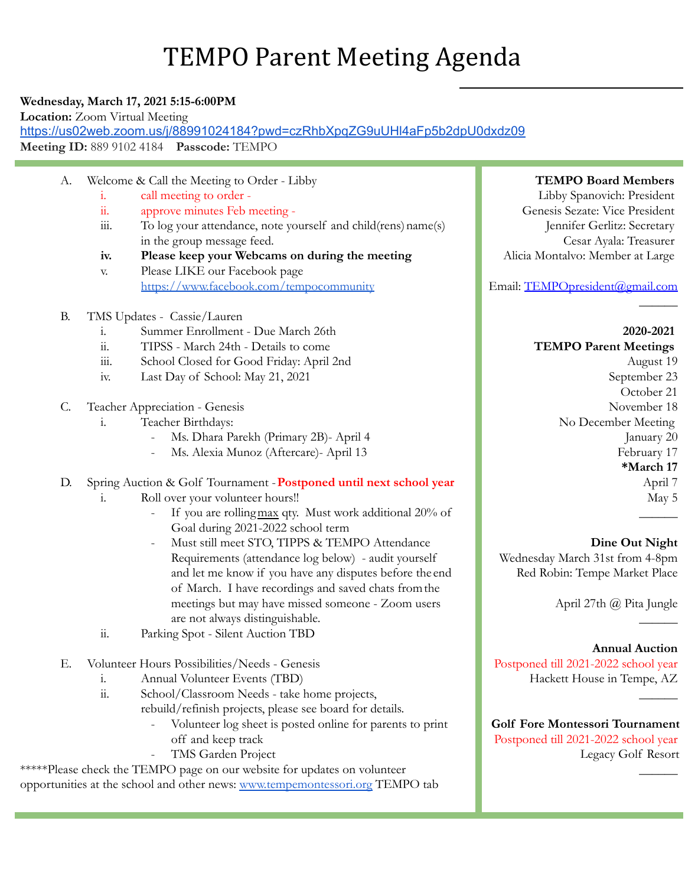# TEMPO Parent Meeting Agenda

## **Wednesday, March 17, 2021 5:15-6:00PM**

**Location:** Zoom Virtual Meeting

<https://us02web.zoom.us/j/88991024184?pwd=czRhbXpqZG9uUHl4aFp5b2dpU0dxdz09> **Meeting ID:** 889 9102 4184 **Passcode:** TEMPO

- A. Welcome & Call the Meeting to Order Libby
	- i. call meeting to order -
	- ii. approve minutes Feb meeting -
	- $\dddot{m}$ . To log your attendance, note yourself and child(rens) name(s) in the group message feed.
	- **iv. Please keep your Webcams on during the meeting**
	- v. Please LIKE our Facebook page <https://www.facebook.com/tempocommunity>
- B. TMS Updates Cassie/Lauren
	- i. Summer Enrollment Due March 26th
	- ii. TIPSS March 24th Details to come
	- iii. School Closed for Good Friday: April 2nd
	- iv. Last Day of School: May 21, 2021
- C. Teacher Appreciation Genesis
	- i. Teacher Birthdays:
		- Ms. Dhara Parekh (Primary 2B)- April 4
		- Ms. Alexia Munoz (Aftercare)- April 13
- D. Spring Auction & Golf Tournament -**Postponed until next school year**
	- i. Roll over your volunteer hours!!
		- If you are rolling max qty. Must work additional 20% of Goal during 2021-2022 school term
			- Must still meet STO, TIPPS & TEMPO Attendance Requirements (attendance log below) - audit yourself and let me know if you have any disputes before the end of March. I have recordings and saved chats fromthe meetings but may have missed someone - Zoom users are not always distinguishable.
	- ii. Parking Spot Silent Auction TBD
- E. Volunteer Hours Possibilities/Needs Genesis
	- i. Annual Volunteer Events (TBD)
	- ii. School/Classroom Needs take home projects, rebuild/refinish projects, please see board for details.
		- Volunteer log sheet is posted online for parents to print off and keep track
		- TMS Garden Project

\*\*\*\*\*Please check the TEMPO page on our website for updates on volunteer opportunities at the school and other news: [www.tempemontessori.org](http://www.tempemontessori.org) TEMPO tab

#### **TEMPO Board Members**

Libby Spanovich: President Genesis Sezate: Vice President Jennifer Gerlitz: Secretary Cesar Ayala: Treasurer Alicia Montalvo: Member at Large

Email: [TEMPOpresident@gmail.com](mailto:TEMPOpresident@gmail.com)

## **2020-2021 TEMPO Parent Meetings** August 19

 $\mathcal{L}$ 

September 23 October 21 November 18 No December Meeting January 20 February 17 **\*March 17** April 7 May 5

## **Dine Out Night**

 $\mathcal{L}$ 

 $\mathcal{L}$ 

 $\mathcal{L}$ 

 $\frac{1}{2}$ 

Wednesday March 31st from 4-8pm Red Robin: Tempe Market Place

April 27th @ Pita Jungle

## **Annual Auction**

Postponed till 2021-2022 school year Hackett House in Tempe, AZ

**Golf Fore Montessori Tournament** Postponed till 2021-2022 school year Legacy Golf Resort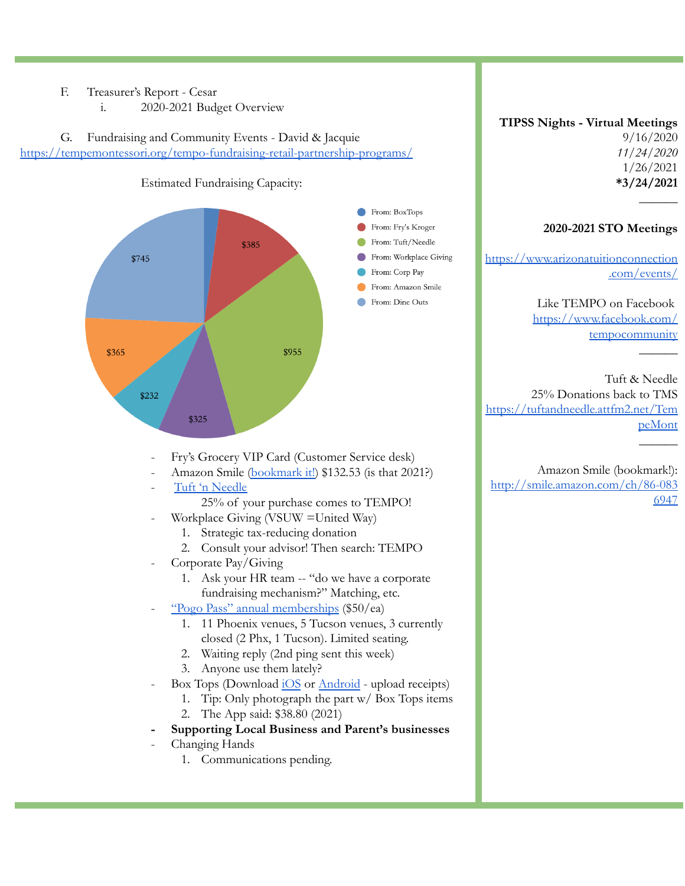## F. Treasurer's Report - Cesar

i. 2020-2021 Budget Overview

G. Fundraising and Community Events - David & Jacquie <https://tempemontessori.org/tempo-fundraising-retail-partnership-programs/>



### **TIPSS Nights - Virtual Meetings**

9/16/2020 *11/24/2020* 1/26/2021 **\*3/24/2021**

**\_**\_\_\_\_\_

 $\mathcal{L}$ 

## **2020-2021 STO Meetings**

[https://www.arizonatuitionconnection](https://www.arizonatuitionconnection.com/events/) [.com/events/](https://www.arizonatuitionconnection.com/events/)

> Like TEMPO on Facebook [https://www.facebook.com/](https://www.facebook.com/tempocommunity) [tempocommunity](https://www.facebook.com/tempocommunity)

Tuft & Needle 25% Donations back to TMS [https://tuftandneedle.attfm2.net/Tem](https://tuftandneedle.attfm2.net/TempeMont) [peMont](https://tuftandneedle.attfm2.net/TempeMont)  $\mathcal{L}$ 

- Fry's Grocery VIP Card (Customer Service desk)
- Amazon Smile [\(bookmark](http://smile.amazon.com/ch/86-0836947) it!) \$132.53 (is that 2021?)
- Tuft 'n [Needle](https://tuftandneedle.attfm2.net/TempeMont)
	- 25% of your purchase comes to TEMPO!
- Workplace Giving (VSUW =United Way)
	- 1. Strategic tax-reducing donation
	- 2. Consult your advisor! Then search: TEMPO
- Corporate Pay/Giving
	- 1. Ask your HR team -- "do we have a corporate fundraising mechanism?" Matching, etc.
- "Pogo Pass" annual [memberships](https://www.pogopass.com/phoenix) (\$50/ea)
	- 1. 11 Phoenix venues, 5 Tucson venues, 3 currently closed (2 Phx, 1 Tucson). Limited seating.
		- 2. Waiting reply (2nd ping sent this week)
		- 3. Anyone use them lately?
- Box Tops (Download [iOS](https://apps.apple.com/us/app/box-tops-for-education/id1150038564) or [Android](https://play.google.com/store/apps/details?id=com.generalmills.btfe&hl=en_US&gl=US) upload receipts)
	- 1. Tip: Only photograph the part w/ Box Tops items
	- 2. The App said: \$38.80 (2021)
- **- Supporting Local Business and Parent's businesses**
- Changing Hands
	- 1. Communications pending.

Amazon Smile (bookmark!): [http://smile.amazon.com/ch/86-083](http://smile.amazon.com/ch/86-0836947) [6947](http://smile.amazon.com/ch/86-0836947)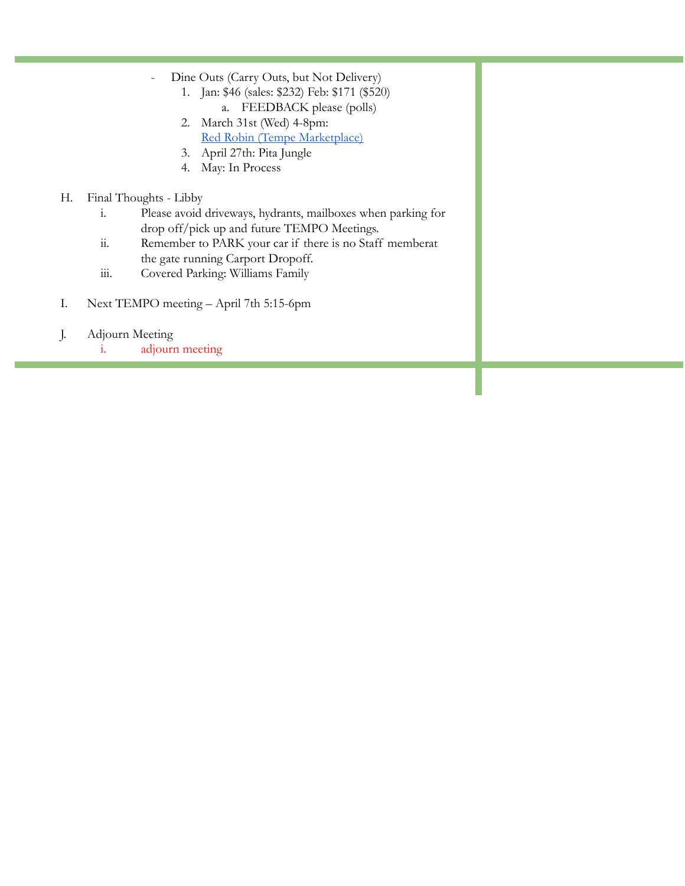- Dine Outs (Carry Outs, but Not Delivery)
	- 1. Jan: \$46 (sales: \$232) Feb: \$171 (\$520) a. FEEDBACK please (polls)
	- 2. March 31st (Wed) 4-8pm: Red Robin (Tempe [Marketplace\)](https://order.redrobin.com/menu/red-robin-tempe-marketplace)
	- 3. April 27th: Pita Jungle
	- 4. May: In Process

## H. Final Thoughts - Libby

- i. Please avoid driveways, hydrants, mailboxes when parking for drop off/pick up and future TEMPO Meetings.
- ii. Remember to PARK your car if there is no Staff memberat the gate running Carport Dropoff.
- iii. Covered Parking: Williams Family
- I. Next TEMPO meeting April 7th 5:15-6pm
- J. Adjourn Meeting
	- i. adjourn meeting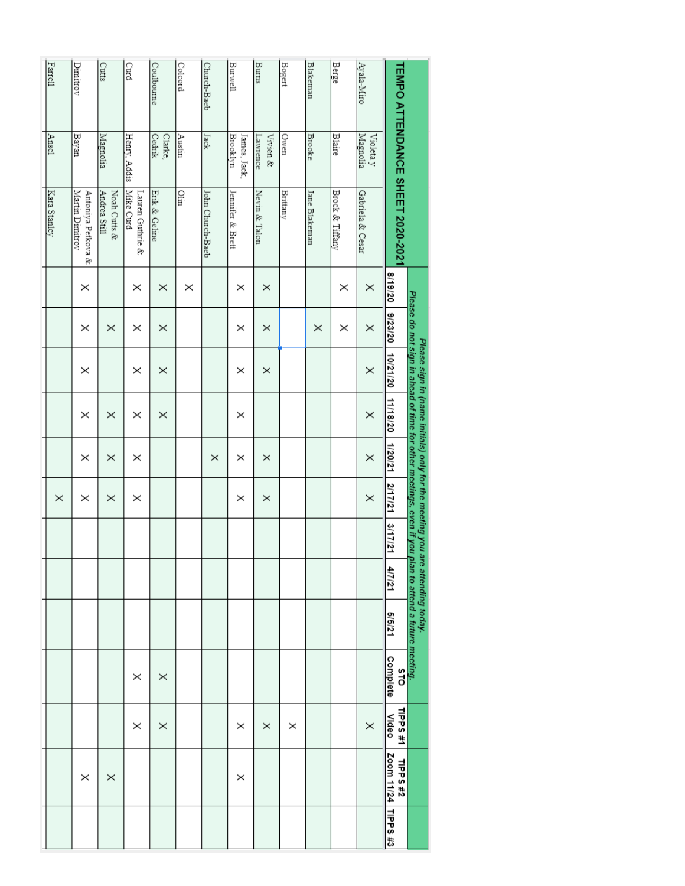| Farrell      | Dimitrov                              | Cutts                        | Curd                          | Coulbourne        | Colcord  | Church-Baeb      | Burwell                         | Burns                | Bogert   | <b>Blakeman</b> | Berge           | Ayala-Miro            |                                  |                                                                                                                                                       |
|--------------|---------------------------------------|------------------------------|-------------------------------|-------------------|----------|------------------|---------------------------------|----------------------|----------|-----------------|-----------------|-----------------------|----------------------------------|-------------------------------------------------------------------------------------------------------------------------------------------------------|
| Ansel        | Bayan                                 | Magnolia                     | Henry, Addis                  | Cedrik<br>Clarke, | Austin   | Jack             | <b>Brooklyn</b><br>James, Jack, | Lawrence<br>Vivien & | Owen     | <b>Brooke</b>   | <b>Blaire</b>   | Magnolia<br>Violeta y |                                  |                                                                                                                                                       |
| Kara Stanley | Martin Dimitrov<br>Antoniya Petkova & | Noah Cutts &<br>Andrea Still | Mike Curd<br>Lauren Guthrie & | Erik & Geline     | Ölin     | John Church-Baeb | Jennifer & Brett                | Nevin & Talon        | Brittany | Jane Blakeman   | Brock & Tiffany | Gabriela & Cesar      | TEMPO ATTENDANCE SHEET 2020-2021 |                                                                                                                                                       |
|              | $\times$                              |                              | ×                             | $\times$          | $\times$ |                  | ×                               | $\times$             |          |                 | ×               | $\times$              | 8/19/20                          |                                                                                                                                                       |
|              | ×                                     | $\times$                     | $\times$                      | $\times$          |          |                  | ×                               | $\times$             |          | $\times$        | ×               | ×                     | 9/23/20                          |                                                                                                                                                       |
|              | ×                                     |                              | ×                             | ×                 |          |                  | ×                               | $\times$             |          |                 |                 | $\times$              | 10/21/20                         | Please do not sign in ahead of time for other meetings, even if you p<br>Please sign in (name initials) only for the meeting you are attending today. |
|              | ×                                     | $\times$                     | ×                             | $\times$          |          |                  | $\times$                        |                      |          |                 |                 | $\times$              | 11/18/20                         |                                                                                                                                                       |
|              | ×                                     | ×                            | $\times$                      |                   |          | $\times$         | ×                               | $\times$             |          |                 |                 | $\times$              | 1/20/21                          |                                                                                                                                                       |
| $\times$     | ×                                     | ×                            | $\times$                      |                   |          |                  | ×                               | $\times$             |          |                 |                 | $\times$              | 2/17/21                          |                                                                                                                                                       |
|              |                                       |                              |                               |                   |          |                  |                                 |                      |          |                 |                 |                       | 3/17/21                          |                                                                                                                                                       |
|              |                                       |                              |                               |                   |          |                  |                                 |                      |          |                 |                 |                       | 4/7/21                           |                                                                                                                                                       |
|              |                                       |                              |                               |                   |          |                  |                                 |                      |          |                 |                 |                       | 5/5/21                           | lan to attend a future meeting.                                                                                                                       |
|              |                                       |                              | $\times$                      | $\times$          |          |                  |                                 |                      |          |                 |                 |                       | Complete<br>STO                  |                                                                                                                                                       |
|              |                                       |                              | ×                             | $\times$          |          |                  | ×                               | $\times$             | ×        |                 |                 | $\times$              | TIPPS#1<br>Video                 |                                                                                                                                                       |
|              | ×                                     | $\times$                     |                               |                   |          |                  | ×                               |                      |          |                 |                 |                       | Zoom 11/24<br><b>TIPPS #2</b>    |                                                                                                                                                       |
|              |                                       |                              |                               |                   |          |                  |                                 |                      |          |                 |                 |                       | <b>TIPPS #3</b>                  |                                                                                                                                                       |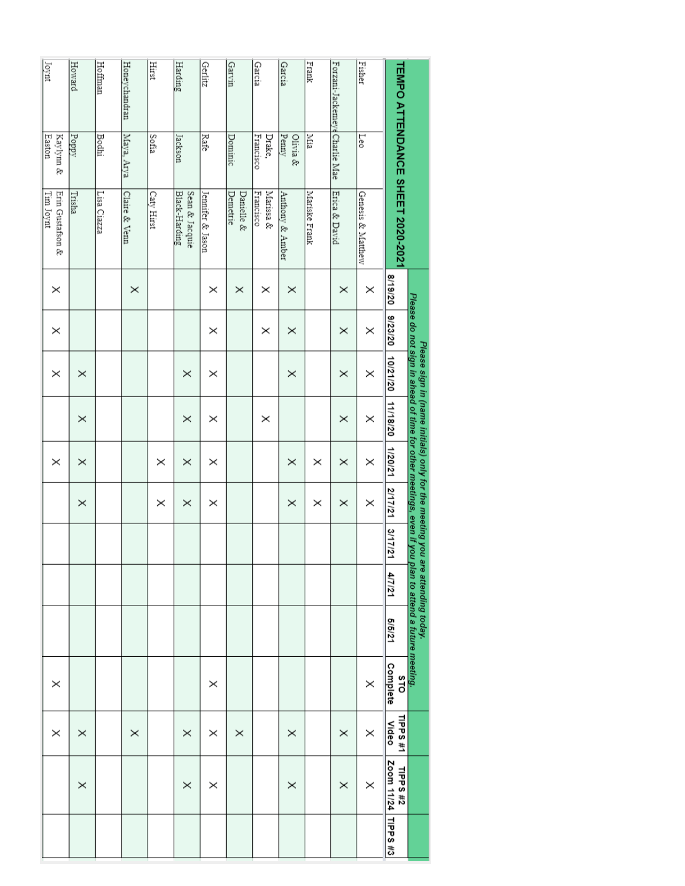| Joynt                         | Howard   | Hoffman      | Honeychandran | Hirst      | Harding                         | Gerlitz          | Garvin                 | Garcia                 | Garcia            | Frank         | Forzani-Jackemeye Charlie Mae | Fisher            |                                  |                                                                                                                                                     |
|-------------------------------|----------|--------------|---------------|------------|---------------------------------|------------------|------------------------|------------------------|-------------------|---------------|-------------------------------|-------------------|----------------------------------|-----------------------------------------------------------------------------------------------------------------------------------------------------|
| Kaylynn &<br>Easton           | Poppy    | <b>Bodhi</b> | Maya, Arya    | Sofía      | Jackson                         | Rafe             | Dominic                | Francisco<br>Drake,    | Penny<br>Olivia & | Mia           |                               | Leo               |                                  |                                                                                                                                                     |
| Erin Gustafson &<br>Tim Joynt | Trisha   | Lisa Ciazza  | Claire & Venn | Caty Hirst | Black-Harding<br>Sean & Jacquie | Jennifer & Jason | Demetrie<br>Danielle & | Francisco<br>Marissa & | Anthony & Amber   | Mariske Frank | Erica & David                 | Genesis & Matthew | TEMPO ATTENDANCE SHEET 2020-2021 |                                                                                                                                                     |
| $\times$                      |          |              | $\times$      |            |                                 | ×                | $\times$               | ×                      | ×                 |               | $\times$                      | ×                 | 8/19/20                          |                                                                                                                                                     |
| ×                             |          |              |               |            |                                 | ×                |                        | $\times$               | ×                 |               | $\times$                      | ×                 | 9/23/20                          |                                                                                                                                                     |
| $\times$                      | $\times$ |              |               |            | $\times$                        | ×                |                        |                        | $\times$          |               | $\times$                      | $\times$          | 10/21/20                         |                                                                                                                                                     |
|                               | $\times$ |              |               |            | $\times$                        | ×                |                        | $\times$               |                   |               | $\times$                      | ×                 | 11/18/20                         | Please do not sign in ahead of time for other meetings, even if you<br>Please sign in (name initials) only for the meeting you are attending today. |
| $\times$                      | $\times$ |              |               | $\times$   | $\times$                        | ×                |                        |                        | ×                 | ×             | $\times$                      | $\times$          | 1/20/21                          |                                                                                                                                                     |
|                               | $\times$ |              |               | $\times$   | $\times$                        | ×                |                        |                        | $\times$          | $\times$      | $\times$                      | $\times$          | 2/17/21                          |                                                                                                                                                     |
|                               |          |              |               |            |                                 |                  |                        |                        |                   |               |                               |                   | 3/17/21                          |                                                                                                                                                     |
|                               |          |              |               |            |                                 |                  |                        |                        |                   |               |                               |                   | 4/7/21                           |                                                                                                                                                     |
|                               |          |              |               |            |                                 |                  |                        |                        |                   |               |                               |                   | 5/5/21                           | plan to attend a future meeting.                                                                                                                    |
| ×                             |          |              |               |            |                                 | ×                |                        |                        |                   |               |                               | ×                 | Complete<br>STO                  |                                                                                                                                                     |
| ×                             | $\times$ |              | $\times$      |            | ×                               | ×                | $\times$               |                        | ×                 |               | ×                             | ×                 | TIPPS <sub>#1</sub><br>Video     |                                                                                                                                                     |
|                               | $\times$ |              |               |            | ×                               | ×                |                        |                        | ×                 |               | ×                             | ×                 | Zoom 11/24<br>TIPPS #2           |                                                                                                                                                     |
|                               |          |              |               |            |                                 |                  |                        |                        |                   |               |                               |                   | <b>TIPPS #3</b>                  |                                                                                                                                                     |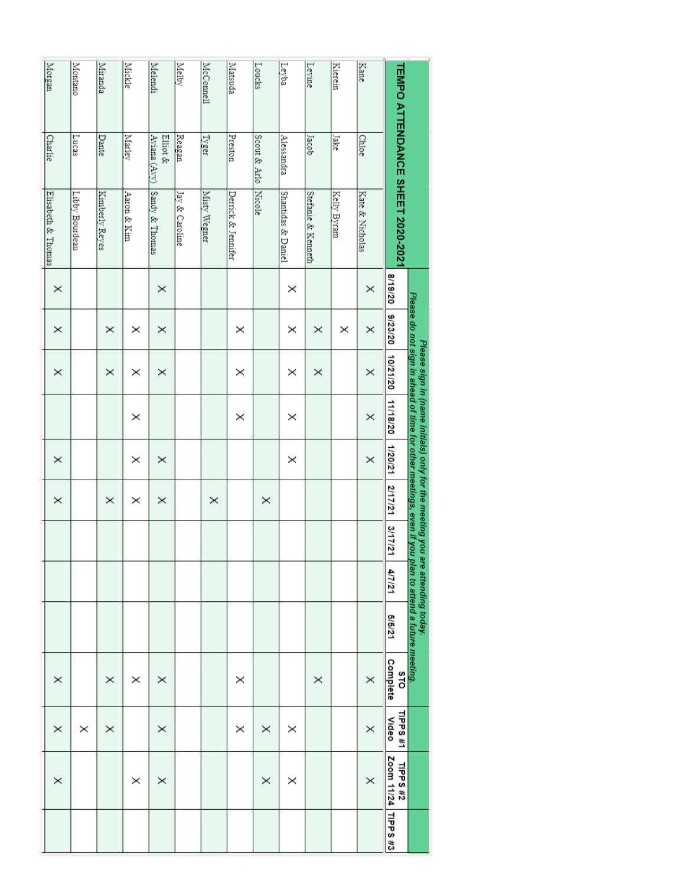| Morgan             | Montano        | Miranda        | Mickle      | Melendi                  | Melby          | McConnell    | Matsuda            | Loucks       | Leyba              | Levine             | Kierein     | Kane            |                                  |                                                                                                                                    |
|--------------------|----------------|----------------|-------------|--------------------------|----------------|--------------|--------------------|--------------|--------------------|--------------------|-------------|-----------------|----------------------------------|------------------------------------------------------------------------------------------------------------------------------------|
| <b>Charlie</b>     | Lucas          | Dante          | Marley      | Aviana (Avy)<br>Elliot & | Reagan         | <b>Tyger</b> | Preston            | Scout & Arlo | Alessandra         | Jacob              | Jake        | Chloe           |                                  |                                                                                                                                    |
| Elisabeth & Thomas | Libby Bourdeau | Kimberly Reyes | Aaron & Kim | Sandy & Thomas           | Jay & Caroline | Misty Wegner | Derrick & Jennifer | Nicole       | Shantidas & Daniel | Stefanie & Kenneth | Kelly Byram | Kate & Nicholas | TEMPO ATTENDANCE SHEET 2020-2021 |                                                                                                                                    |
| $\times$           |                |                |             | $\times$                 |                |              |                    |              | ×                  |                    |             | $\times$        | 8/19/20                          |                                                                                                                                    |
| $\times$           |                | $\times$       | $\times$    | $\times$                 |                |              | ×                  |              | ×                  | $\times$           | ×           | $\times$        | 9/23/20                          |                                                                                                                                    |
| ×                  |                | $\times$       | ×           | $\times$                 |                |              | $\times$           |              | ×                  | $\times$           |             | $\times$        | 10/21/20                         | Please do not sign in ahead of time for other meetings, even if you p<br>Please sign in (name initials) only for the meeting you a |
|                    |                |                | $\times$    |                          |                |              | $\times$           |              | ×                  |                    |             | $\times$        | 11/18/20                         |                                                                                                                                    |
| $\times$           |                |                | $\times$    | $\times$                 |                |              |                    |              | $\times$           |                    |             | $\times$        | 1/20/21                          |                                                                                                                                    |
| $\times$           |                | $\times$       | $\times$    | $\times$                 |                | $\times$     |                    | $\times$     |                    |                    |             |                 | 2/17/21                          |                                                                                                                                    |
|                    |                |                |             |                          |                |              |                    |              |                    |                    |             |                 | 3/17/21                          |                                                                                                                                    |
|                    |                |                |             |                          |                |              |                    |              |                    |                    |             |                 | 4/7/21                           | re attending today.                                                                                                                |
|                    |                |                |             |                          |                |              |                    |              |                    |                    |             |                 | 5/5/21                           | plan to attend a future meeting.                                                                                                   |
| ×                  |                | $\times$       | ×           | $\times$                 |                |              | ×                  |              |                    | $\times$           |             | $\times$        | Complete<br>STO                  |                                                                                                                                    |
| $\times$           | $\times$       | $\times$       |             | $\times$                 |                |              | $\times$           | $\times$     | ×                  |                    |             | $\times$        | TIPPS#1<br>Video                 |                                                                                                                                    |
| $\times$           |                |                | $\times$    | $\times$                 |                |              |                    | $\times$     | ×                  |                    |             | $\times$        | Zoom 11/24<br>LIPP8#2            |                                                                                                                                    |
|                    |                |                |             |                          |                |              |                    |              |                    |                    |             |                 | <b>TIPPS #3</b>                  |                                                                                                                                    |